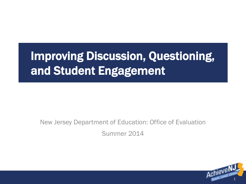# Improving Discussion, Questioning, and Student Engagement

New Jersey Department of Education: Office of Evaluation Summer 2014

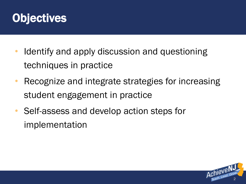

- Identify and apply discussion and questioning techniques in practice
- Recognize and integrate strategies for increasing student engagement in practice
- Self-assess and develop action steps for implementation

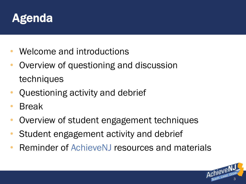

- Welcome and introductions
- Overview of questioning and discussion techniques
- Questioning activity and debrief
- **Break**
- Overview of student engagement techniques
- Student engagement activity and debrief
- Reminder of AchieveNJ resources and materials

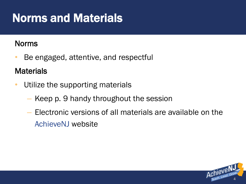### Norms and Materials

#### Norms

• Be engaged, attentive, and respectful

#### **Materials**

- Utilize the supporting materials
	- Keep p. 9 handy throughout the session
	- Electronic versions of all materials are available on the AchieveNJ website

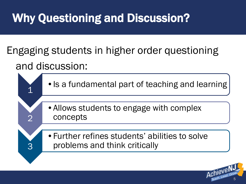# Why Questioning and Discussion?

Engaging students in higher order questioning and discussion:



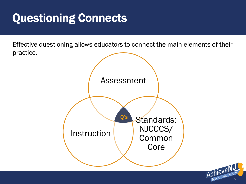### Questioning Connects

Effective questioning allows educators to connect the main elements of their practice.

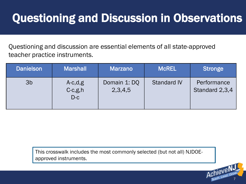### Questioning and Discussion in Observations

Questioning and discussion are essential elements of all state-approved teacher practice instruments.

| <b>Danielson</b> | <b>Marshall</b>                   | <b>Marzano</b>          | <b>McREL</b>       | <b>Stronge</b>                |
|------------------|-----------------------------------|-------------------------|--------------------|-------------------------------|
| 3 <sub>b</sub>   | $A-c,d,g$<br>$C-c, g, h$<br>$D-c$ | Domain 1: DQ<br>2,3,4,5 | <b>Standard IV</b> | Performance<br>Standard 2,3,4 |

This crosswalk includes the most commonly selected (but not all) NJDOEapproved instruments.

7

Achieve N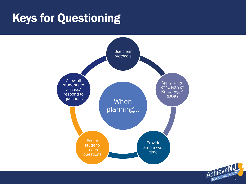### Keys for Questioning



Achieve N.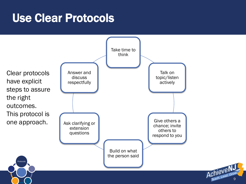#### Use Clear Protocols

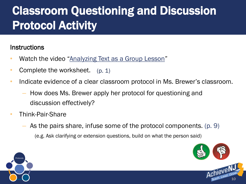# Classroom Questioning and Discussion Protocol Activity

#### **Instructions**

- Watch the video "[Analyzing Text as a Group Lesson](https://www.teachingchannel.org/videos/analyzing-text-as-a-group)"
- Complete the worksheet. (p. 1)
- Indicate evidence of a clear classroom protocol in Ms. Brewer's classroom.
	- How does Ms. Brewer apply her protocol for questioning and discussion effectively?
- Think-Pair-Share
	- As the pairs share, infuse some of the protocol components. (p. 9) (e.g. Ask clarifying or extension questions, build on what the person said)



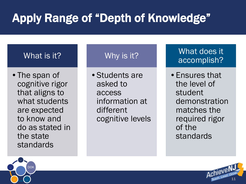# Apply Range of "Depth of Knowledge"

#### What is it?

• The span of cognitive rigor that aligns to what students are expected to know and do as stated in the state standards

#### Why is it?

•Students are asked to access information at different cognitive levels

#### What does it accomplish?

•Ensures that the level of student demonstration matches the required rigor of the standards



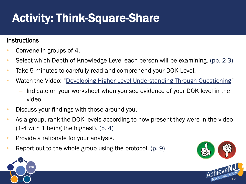# Activity: Think-Square-Share

#### **Instructions**

- Convene in groups of 4.
- Select which Depth of Knowledge Level each person will be examining. (pp. 2-3)
- Take 5 minutes to carefully read and comprehend your DOK Level.
- Watch the Video: "[Developing Higher Level Understanding Through Questioning](https://www.youtube.com/watch?feature=player_embedded&v=IfEU5shbmbw)"
	- Indicate on your worksheet when you see evidence of your DOK level in the video.
- Discuss your findings with those around you.
- As a group, rank the DOK levels according to how present they were in the video  $(1-4$  with 1 being the highest).  $(p, 4)$
- Provide a rationale for your analysis.
- Report out to the whole group using the protocol. (p. 9)



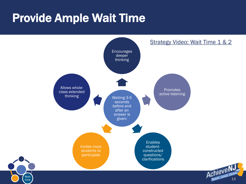### Provide Ample Wait Time

Wait time

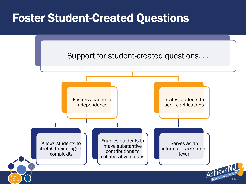#### Foster Student-Created Questions

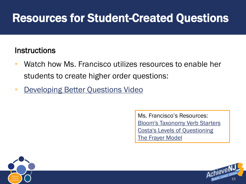### Resources for Student-Created Questions

#### **Instructions**

- Watch how Ms. Francisco utilizes resources to enable her students to create higher order questions:
- [Developing Better Questions Video](https://www.teachingchannel.org/videos/developing-better-questions)

Ms. Francisco's Resources: [Bloom's Taxonomy Verb Starters](http://wwild.coe.uga.edu/pptgames/resources/bloom_questions.pdf) [Costa's Levels of Questioning](http://mrkash.com/costa.html) **[The Frayer](http://www.adlit.org/strategies/22369/) [Model](http://www.adlit.org/strategies/22369/)** 



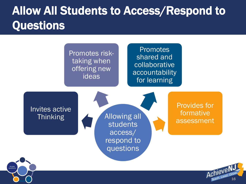### Allow All Students to Access/Respond to **Questions**



. .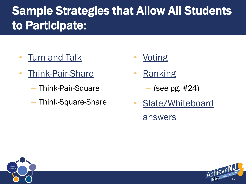# Sample Strategies that Allow All Students to Participate:

- **[Turn and Talk](http://www.theteachertoolkit.com/index.php/tool/turn-and-talk)**
- [Think-Pair-Share](http://www.readwritethink.org/professional-development/strategy-guides/using-think-pair-share-30626.html)
	- Think-Pair-Square
	- Think-Square-Share
- **[Voting](http://www.minnisjournals.com.au/educationtoday/article/-voting-strategies-that-will-work-in-the-classroom-479)**
- **[Ranking](http://www.clayton.k12.ga.us/departments/instruction/toolsandstrategies.pdf)** 
	- (see pg. #24)
- Slate/Whiteboard [answers](http://www.teachhub.com/teaching-with-dry-erase-boards)



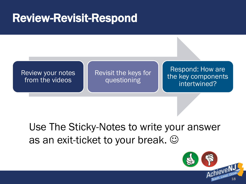#### Review-Revisit-Respond



#### Use The Sticky-Notes to write your answer as an exit-ticket to your break.  $\odot$

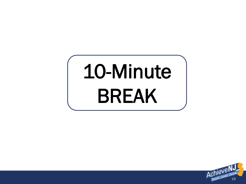# 10-Minute BREAK

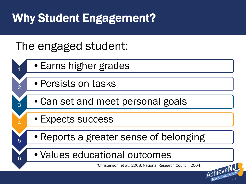# Why Student Engagement?

#### The engaged student:

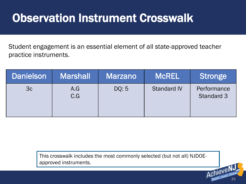### Observation Instrument Crosswalk

Student engagement is an essential element of all state-approved teacher practice instruments.

| <b>Danielson</b> | <b>Marshall</b> | <b>Marzano</b> | <b>MCREL</b>       | <b>Stronge</b>                   |
|------------------|-----------------|----------------|--------------------|----------------------------------|
| 3c               | A.G<br>C.G      | DQ: 5          | <b>Standard IV</b> | Performance<br><b>Standard 3</b> |

AchieveN This crosswalk includes the most commonly selected (but not all) NJDOEapproved instruments.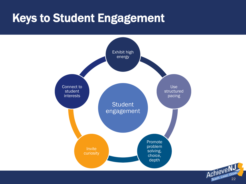#### Keys to Student Engagement



Achieve NJ  $\lambda$ Chleve-<br>Teach, Lead,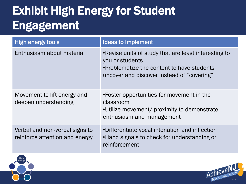# Exhibit High Energy for Student Engagement

| <b>High energy tools</b>                                         | <b>Ideas to implement</b>                                                                                                                                            |
|------------------------------------------------------------------|----------------------------------------------------------------------------------------------------------------------------------------------------------------------|
| Enthusiasm about material                                        | • Revise units of study that are least interesting to<br>you or students<br>•Problematize the content to have students<br>uncover and discover instead of "covering" |
| Movement to lift energy and<br>deepen understanding              | •Foster opportunities for movement in the<br>classroom<br>.Utilize movement/ proximity to demonstrate<br>enthusiasm and management                                   |
| Verbal and non-verbal signs to<br>reinforce attention and energy | •Differentiate vocal intonation and inflection<br>•Hand signals to check for understanding or<br>reinforcement                                                       |



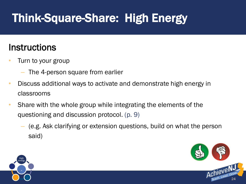# Think-Square-Share: High Energy

#### **Instructions**

- Turn to your group
	- The 4-person square from earlier
- Discuss additional ways to activate and demonstrate high energy in classrooms
- Share with the whole group while integrating the elements of the questioning and discussion protocol. (p. 9)
	- (e.g. Ask clarifying or extension questions, build on what the person said)



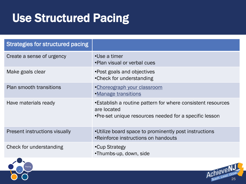### Use Structured Pacing

| <b>Strategies for structured pacing</b> |                                                                                                                                      |
|-----------------------------------------|--------------------------------------------------------------------------------------------------------------------------------------|
| Create a sense of urgency               | •Use a timer<br>•Plan visual or verbal cues                                                                                          |
| Make goals clear                        | • Post goals and objectives<br>•Check for understanding                                                                              |
| Plan smooth transitions                 | •Choreograph your classroom<br>•Manage transitions                                                                                   |
| Have materials ready                    | •Establish a routine pattern for where consistent resources<br>are located<br>•Pre-set unique resources needed for a specific lesson |
| Present instructions visually           | •Utilize board space to prominently post instructions<br>•Reinforce instructions on handouts                                         |
| Check for understanding                 | •Cup Strategy<br>•Thumbs-up, down, side                                                                                              |

Achieven

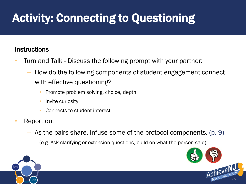# Activity: Connecting to Questioning

#### **Instructions**

- Turn and Talk Discuss the following prompt with your partner:
	- How do the following components of student engagement connect with effective questioning?
		- Promote problem solving, choice, depth
		- Invite curiosity
		- Connects to student interest
- Report out
	- As the pairs share, infuse some of the protocol components. (p. 9)

(e.g. Ask clarifying or extension questions, build on what the person said)



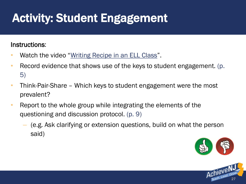# Activity: Student Engagement

#### Instructions:

- Watch the video "[Writing Recipe in an ELL Class](https://www.teachingchannel.org/videos/ell-essay-structure-lesson)".
- Record evidence that shows use of the keys to student engagement. (p. 5)
- Think-Pair-Share Which keys to student engagement were the most prevalent?
- Report to the whole group while integrating the elements of the questioning and discussion protocol. (p. 9)
	- (e.g. Ask clarifying or extension questions, build on what the person said)



27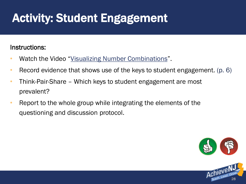# Activity: Student Engagement

#### Instructions:

- Watch the Video "[Visualizing Number Combinations](https://www.teachingchannel.org/videos/visualizing-number-combinations)".
- Record evidence that shows use of the keys to student engagement. (p. 6)
- Think-Pair-Share Which keys to student engagement are most prevalent?
- Report to the whole group while integrating the elements of the questioning and discussion protocol.

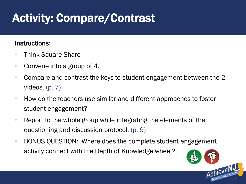# Activity: Compare/Contrast

#### Instructions:

- Think-Square-Share
- Convene into a group of 4.
- Compare and contrast the keys to student engagement between the 2 videos. (p. 7)
- How do the teachers use similar and different approaches to foster student engagement?
- Report to the whole group while integrating the elements of the questioning and discussion protocol. (p. 9)
- BONUS QUESTION: Where does the complete student engagement activity connect with the Depth of Knowledge wheel?

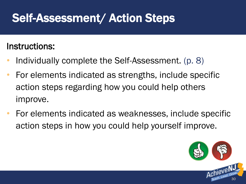### Self-Assessment/ Action Steps

#### Instructions:

- Individually complete the Self-Assessment. (p. 8)
- For elements indicated as strengths, include specific action steps regarding how you could help others improve.
- For elements indicated as weaknesses, include specific action steps in how you could help yourself improve.

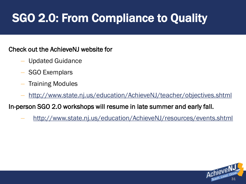# SGO 2.0: From Compliance to Quality

#### Check out the AchieveNJ website for

- Updated Guidance
- SGO Exemplars
- Training Modules
- <http://www.state.nj.us/education/AchieveNJ/teacher/objectives.shtml>

In-person SGO 2.0 workshops will resume in late summer and early fall.

– <http://www.state.nj.us/education/AchieveNJ/resources/events.shtml>

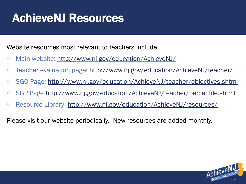### AchieveNJ Resources

Website resources most relevant to teachers include:

- Main website: <http://www.nj.gov/education/AchieveNJ/>
- Teacher evaluation page: <http://www.nj.gov/education/AchieveNJ/teacher/>
- SGO Page:<http://www.nj.gov/education/AchieveNJ/teacher/objectives.shtml>
- SGP Page<http://www.nj.gov/education/AchieveNJ/teacher/percentile.shtml>
- Resource Library: <http://www.nj.gov/education/AchieveNJ/resources/>

Please visit our website periodically. New resources are added monthly.